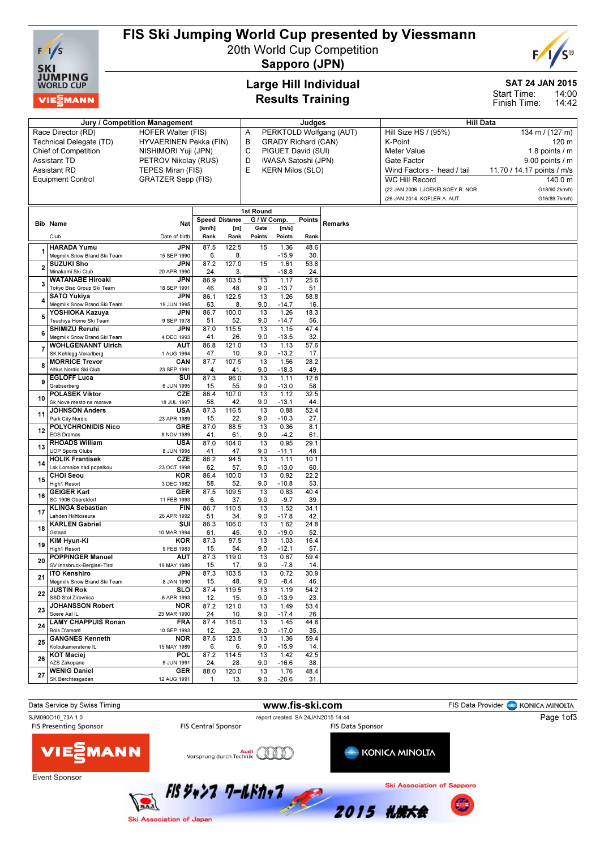

# FIS Ski Jumping World Cup presented by Viessmann

20th World Cup Competition



Sapporo (JPN)

## Large Hill Individual Results Training

## SAT 24 JAN 2015

14:00 14:42 Start Time: Finish Time:

| Jury / Competition Management                     |                                                    |                            |                       |              |                        |                            | Judges      |                         | <b>Hill Data</b>                |                            |  |  |  |
|---------------------------------------------------|----------------------------------------------------|----------------------------|-----------------------|--------------|------------------------|----------------------------|-------------|-------------------------|---------------------------------|----------------------------|--|--|--|
|                                                   | Race Director (RD)                                 | <b>HOFER Walter (FIS)</b>  |                       |              | Α                      |                            |             | PERKTOLD Wolfgang (AUT) | Hill Size HS / (95%)            | 134 m / (127 m)            |  |  |  |
| Technical Delegate (TD)<br>HYVAERINEN Pekka (FIN) |                                                    |                            |                       |              | B                      | <b>GRADY Richard (CAN)</b> |             |                         | K-Point                         | 120 m                      |  |  |  |
|                                                   | Chief of Competition                               | NISHIMORI Yuji (JPN)       |                       |              | C                      | PIGUET David (SUI)         |             |                         | <b>Meter Value</b>              | 1.8 points / m             |  |  |  |
|                                                   | <b>Assistant TD</b>                                | PETROV Nikolay (RUS)       |                       |              | D                      | IWASA Satoshi (JPN)        |             |                         | Gate Factor                     | $9.00$ points / m          |  |  |  |
|                                                   | <b>Assistant RD</b>                                | TEPES Miran (FIS)          |                       |              | E                      | <b>KERN Milos (SLO)</b>    |             |                         | Wind Factors - head / tail      | 11.70 / 14.17 points / m/s |  |  |  |
|                                                   | <b>Equipment Control</b>                           | <b>GRATZER Sepp (FIS)</b>  |                       |              |                        |                            |             |                         | <b>WC Hill Record</b>           | 140.0 m                    |  |  |  |
|                                                   |                                                    |                            |                       |              |                        |                            |             |                         | (22 JAN 2006 LJOEKELSOEY R. NOR | G18/90.2km/h)              |  |  |  |
|                                                   |                                                    |                            |                       |              |                        |                            |             |                         | (26 JAN 2014 KOFLER A. AUT      | G16/89.7km/h)              |  |  |  |
|                                                   |                                                    |                            |                       |              | 1st Round              |                            |             |                         |                                 |                            |  |  |  |
|                                                   | <b>Bib Name</b>                                    | Nat                        | <b>Speed Distance</b> |              | G/WComp.               |                            | Points      | Remarks                 |                                 |                            |  |  |  |
|                                                   |                                                    |                            | [km/h]                | [m]          | Gate                   | [m/s]                      |             |                         |                                 |                            |  |  |  |
|                                                   | Club                                               | Date of birth              | Rank                  | Rank         | Points                 | Points                     | Rank        |                         |                                 |                            |  |  |  |
| 1                                                 | <b>HARADA Yumu</b><br>Meamilk Snow Brand Ski Team  | <b>JPN</b><br>15 SEP 1990  | 87.5<br>6.            | 122.5<br>8.  | 15                     | 1.36<br>$-15.9$            | 48.6<br>30. |                         |                                 |                            |  |  |  |
|                                                   | <b>SUZUKI Sho</b>                                  | JPN                        | 87.2                  | 127.0        | 15                     | 1.61                       | 53.8        |                         |                                 |                            |  |  |  |
| $\overline{a}$                                    | Minakami Ski Club                                  | 20 APR 1990                | 24.                   | 3.           |                        | $-18.8$                    | 24.         |                         |                                 |                            |  |  |  |
| 3                                                 | <b>WATANABE Hiroaki</b>                            | JPN                        | 86.9                  | 103.5        | 13                     | 1.17                       | 25.6        |                         |                                 |                            |  |  |  |
|                                                   | Tokyo Biso Group Ski Team                          | 18 SEP 1991                | 46.                   | 48.          | 9.0                    | $-13.7$                    | 51          |                         |                                 |                            |  |  |  |
| 4                                                 | <b>SATO Yukiya</b>                                 | JPN                        | 86.1                  | 122.5        | 13                     | 1.26                       | 58.8        |                         |                                 |                            |  |  |  |
|                                                   | Megmilk Snow Brand Ski Team<br>YOSHIOKA Kazuva     | 19 JUN 1995<br><b>JPN</b>  | 63.<br>86.7           | 8.<br>100.0  | 9.0<br>13              | $-14.7$<br>1.26            | 16<br>18.3  |                         |                                 |                            |  |  |  |
| 5                                                 | Tsuchiya Home Ski Team                             | 9 SEP 1978                 | 51                    | 52.          | 9.0                    | $-14.7$                    | 56          |                         |                                 |                            |  |  |  |
|                                                   | <b>SHIMIZU Reruhi</b>                              | <b>JPN</b>                 | 87.0                  | 115.5        | 13                     | 1.15                       | 47.4        |                         |                                 |                            |  |  |  |
| 6                                                 | Megmilk Snow Brand Ski Team                        | 4 DEC 1993                 | 41.                   | 26.          | 9.0                    | $-13.5$                    | 32          |                         |                                 |                            |  |  |  |
| 7                                                 | <b>WOHLGENANNT Ulrich</b>                          | AUT                        | 86.8                  | 121.0        | 13                     | 1.13                       | 57.6        |                         |                                 |                            |  |  |  |
|                                                   | SK Kehlegg-Vorarlberg                              | 1 AUG 1994                 | 47.                   | 10.          | 9.0                    | $-13.2$                    | 17.         |                         |                                 |                            |  |  |  |
| 8                                                 | <b>MORRICE Trevor</b><br>Altius Nordic Ski Club    | CAN<br>23 SEP 1991         | 87.7<br>4.            | 107.5<br>41. | 13<br>9.0              | 1.56<br>$-18.3$            | 28.2<br>49  |                         |                                 |                            |  |  |  |
|                                                   | <b>EGLOFF Luca</b>                                 | $\overline{\mathsf{s}}$ UI | 87.3                  | 96.0         | $\overline{13}$        | 1.11                       | 12.8        |                         |                                 |                            |  |  |  |
| 9                                                 | Grabserberg                                        | 6 JUN 1995                 | 15.                   | 55.          | 9.0                    | $-13.0$                    | 58          |                         |                                 |                            |  |  |  |
| 10                                                | <b>POLASEK Viktor</b>                              | CZE                        | 86.4                  | 107.0        | 13                     | 1.12                       | 32.5        |                         |                                 |                            |  |  |  |
|                                                   | Sk Nove mesto na morave                            | 18 JUL 1997                | 58.                   | 42.          | 9.0                    | $-13.1$                    | 44          |                         |                                 |                            |  |  |  |
| 11                                                | <b>JOHNSON Anders</b>                              | <b>USA</b>                 | 87.3                  | 116.5        | 13                     | 0.88                       | 52.4        |                         |                                 |                            |  |  |  |
|                                                   | Park City Nordic<br><b>POLYCHRONIDIS Nico</b>      | 23 APR 1989<br><b>GRE</b>  | 15.<br>87.0           | 22.<br>88.5  | 9.0<br>13              | $-10.3$<br>0.36            | 27.<br>8.1  |                         |                                 |                            |  |  |  |
| 12                                                | <b>EOS Dramas</b>                                  | 8 NOV 1989                 | 41.                   | 61.          | 9.0                    | $-4.2$                     | 61          |                         |                                 |                            |  |  |  |
| 13                                                | <b>RHOADS William</b>                              | <b>USA</b>                 | 87.0                  | 104.0        | 13                     | 0.95                       | 29.1        |                         |                                 |                            |  |  |  |
|                                                   | <b>UOP Sports Clubs</b>                            | 8 JUN 1995                 | 41.                   | 47.          | 9.0                    | $-11.1$                    | 48          |                         |                                 |                            |  |  |  |
| 14                                                | <b>HOLIK Frantisek</b>                             | CZE                        | 86.2                  | 94.5         | 13                     | 1.11                       | 10.1        |                         |                                 |                            |  |  |  |
|                                                   | Lsk Lomnice nad popelkou<br>CHOI Seou              | 23 OCT 1998                | 62.                   | 57.          | 9.0                    | $-13.0$                    | 60          |                         |                                 |                            |  |  |  |
| 15                                                | <b>High1 Resort</b>                                | <b>KOR</b><br>3 DEC 1982   | 86.4<br>58.           | 100.0<br>52. | 13<br>9.0              | 0.92<br>$-10.8$            | 22.2<br>53  |                         |                                 |                            |  |  |  |
|                                                   | <b>GEIGER Karl</b>                                 | <b>GER</b>                 | 87.5                  | 109.5        | 13                     | 0.83                       | 40.4        |                         |                                 |                            |  |  |  |
| 16                                                | SC 1906 Oberstdorf                                 | 11 FEB 1993                | 6.                    | 37.          | 9.0                    | $-9.7$                     | 39.         |                         |                                 |                            |  |  |  |
| 17                                                | <b>KLINGA Sebastian</b>                            | <b>FIN</b>                 | 86.7                  | 110.5        | 13                     | 1.52                       | 34.1        |                         |                                 |                            |  |  |  |
|                                                   | Lahden Hiihtoseura                                 | 26 APR 1992                | 51.                   | 34.          | 9.0                    | $-17.8$                    | 42          |                         |                                 |                            |  |  |  |
| 18                                                | <b>KARLEN Gabriel</b><br>Gstaad                    | SUI<br>10 MAR 1994         | 86.3<br>61.           | 106.0<br>45. | $\overline{13}$<br>9.0 | 1.62<br>$-19.0$            | 24.8<br>52  |                         |                                 |                            |  |  |  |
|                                                   | KIM Hyun-Ki                                        | KOR                        | 87.3                  | 97.5         | 13                     | 1.03                       | 16.4        |                         |                                 |                            |  |  |  |
| 19                                                | <b>High1 Resort</b>                                | 9 FEB 1983                 | 15.                   | 54.          | 9.0                    | $-12.1$                    | 57.         |                         |                                 |                            |  |  |  |
| 20                                                | <b>POPPINGER Manuel</b>                            | AUT                        | 87.3                  | 119.0        | 13                     | 0.67                       | 59.4        |                         |                                 |                            |  |  |  |
|                                                   | SV Innsbruck-Bergisel-Tirol                        | 19 MAY 1989                | 15.                   | 17.          | 9.0                    | $-7.8$                     | 14          |                         |                                 |                            |  |  |  |
| 21                                                | <b>ITO Kenshiro</b><br>Megmilk Snow Brand Ski Team | JPN<br>8 JAN 1990          | 87.3                  | 103.5        | 13<br>9.0              | 0.72                       | 30.9        |                         |                                 |                            |  |  |  |
|                                                   | <b>JUSTIN Rok</b>                                  | <b>SLO</b>                 | 15.<br>87.4           | 48.<br>119.5 | 13                     | $-8.4$<br>1.19             | 46.<br>54.2 |                         |                                 |                            |  |  |  |
| 22                                                | SSD Stol Zirovnica                                 | 6 APR 1993                 | 12.                   | 15.          | 9.0                    | $-13.9$                    | 23.         |                         |                                 |                            |  |  |  |
| 23                                                | <b>JOHANSSON Robert</b>                            | <b>NOR</b>                 | 87.2                  | 121.0        | 13                     | 1.49                       | 53.4        |                         |                                 |                            |  |  |  |
|                                                   | Soere Aal IL                                       | 23 MAR 1990                | 24.                   | 10.          | 9.0                    | $-17.4$                    | 26.         |                         |                                 |                            |  |  |  |
| 24                                                | <b>LAMY CHAPPUIS Ronan</b><br>Bois D'amont         | <b>FRA</b><br>10 SEP 1993  | 87.4<br>12.           | 116.0<br>23. | 13<br>9.0              | 1.45<br>$-17.0$            | 44.8<br>35. |                         |                                 |                            |  |  |  |
|                                                   | <b>GANGNES Kenneth</b>                             | <b>NOR</b>                 | 87.5                  | 123.5        | 13                     | 1.36                       | 59.4        |                         |                                 |                            |  |  |  |
| 25                                                | Kolbukameratene IL                                 | 15 MAY 1989                | 6.                    | 6.           | 9.0                    | $-15.9$                    | 14.         |                         |                                 |                            |  |  |  |
| 26                                                | <b>KOT Maciej</b>                                  | <b>POL</b>                 | 87.2                  | 114.5        | 13                     | 1.42                       | 42.5        |                         |                                 |                            |  |  |  |
|                                                   | AZS Zakopane                                       | 9 JUN 1991                 | 24.                   | 28.          | 9.0                    | $-16.6$                    | 38.         |                         |                                 |                            |  |  |  |
| 27                                                | <b>WENIG Daniel</b>                                | GER                        | 88.0                  | 120.0        | 13                     | 1.76                       | 48.4        |                         |                                 |                            |  |  |  |
|                                                   | SK Berchtesgaden                                   | 12 AUG 1991                | 1.                    | 13.          | 9.0                    | $-20.6$                    | 31.         |                         |                                 |                            |  |  |  |

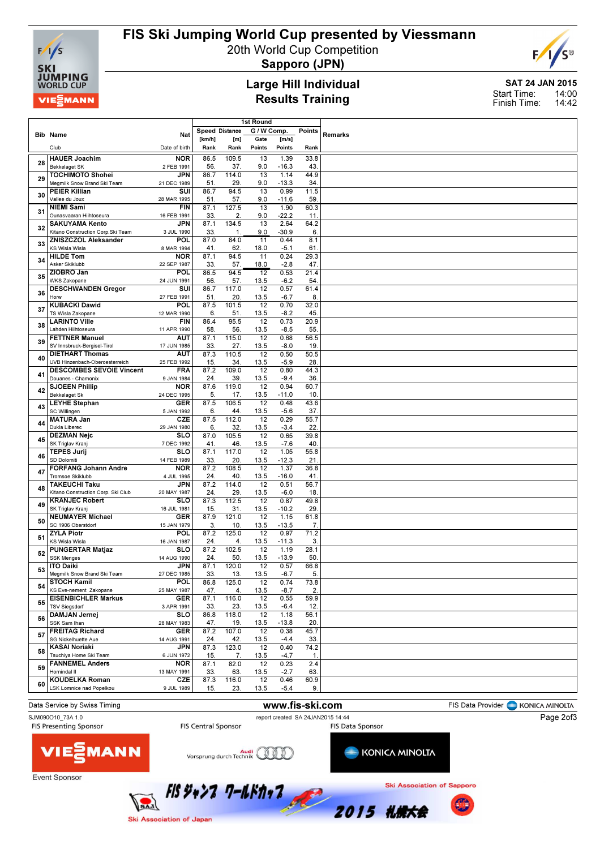

## FIS Ski Jumping World Cup presented by Viessmann

20th World Cup Competition



Sapporo (JPN)

### Large Hill Individual Results Training

SAT 24 JAN 2015 14:00 14:42 Start Time: Finish Time:

|    |                                                                  |                           | 1st Round   |                |                 |                 |                |                |  |  |  |  |
|----|------------------------------------------------------------------|---------------------------|-------------|----------------|-----------------|-----------------|----------------|----------------|--|--|--|--|
|    |                                                                  | Nat                       |             | Speed Distance | G / W Comp.     |                 | Points         | <b>Remarks</b> |  |  |  |  |
|    | <b>Bib Name</b>                                                  |                           | [km/h]      | [m]            | Gate            | [m/s]           |                |                |  |  |  |  |
|    | Club                                                             | Date of birth             | Rank        | Rank           | Points          | Points          | Rank           |                |  |  |  |  |
| 28 | <b>HAUER Joachim</b>                                             | <b>NOR</b>                | 86.5        | 109.5          | 13              | 1.39            | 33.8           |                |  |  |  |  |
|    | <b>Bekkelaget SK</b>                                             | 2 FEB 1991                | 56.         | 37.            | 9.0             | $-16.3$         | 43             |                |  |  |  |  |
| 29 | <b>TOCHIMOTO Shohei</b>                                          | JPN                       | 86.7        | 114.0          | 13              | 1.14            | 44.9           |                |  |  |  |  |
|    | Meamilk Snow Brand Ski Team<br><b>PEIER Killian</b>              | 21 DEC 1989<br>SUI        | 51<br>86.7  | 29.<br>94.5    | 9.0<br>13       | $-13.3$<br>0.99 | 34<br>11.5     |                |  |  |  |  |
| 30 | Vallee du Joux                                                   | 28 MAR 1995               | 51.         | 57.            | 9.0             | $-11.6$         | 59             |                |  |  |  |  |
|    | <b>NIEMI Sami</b>                                                | <b>FIN</b>                | 87.1        | 127.5          | 13              | 1.90            | 60.3           |                |  |  |  |  |
| 31 | Ounasvaaran Hiihtoseura                                          | 16 FEB 1991               | 33.         | 2              | 9.0             | $-22.2$         | 11.            |                |  |  |  |  |
| 32 | <b>SAKUYAMA Kento</b>                                            | JPN                       | 87.1        | 134.5          | 13              | 2.64            | 64.2           |                |  |  |  |  |
|    | Kitano Construction Corp.Ski Team<br><b>ZNISZCZOL Aleksander</b> | 3 JUL 1990                | 33.         | $\mathbf{1}$   | 9.0             | $-30.9$         | 6.             |                |  |  |  |  |
| 33 | <b>KS Wisla Wisla</b>                                            | POL<br>8 MAR 1994         | 87.0<br>41. | 84.0<br>62.    | 11<br>18.0      | 0.44<br>$-5.1$  | 8.1<br>61      |                |  |  |  |  |
|    | <b>HILDE Tom</b>                                                 | <b>NOR</b>                | 87.1        | 94.5           | 11              | 0.24            | 29.3           |                |  |  |  |  |
| 34 | Asker Skiklubb                                                   | 22 SEP 1987               | 33.         | 57.            | 18.0            | $-2.8$          | 47             |                |  |  |  |  |
| 35 | ZIOBRO Jan                                                       | <b>POL</b>                | 86.5        | 94.5           | $\overline{12}$ | 0.53            | 21.4           |                |  |  |  |  |
|    | <b>WKS Zakopane</b>                                              | 24 JUN 1991               | 56.         | 57.            | 13.5            | $-6.2$          | 54             |                |  |  |  |  |
| 36 | <b>DESCHWANDEN Gregor</b><br>Horw                                | SUI<br>27 FEB 1991        | 86.7<br>51. | 117.0<br>20.   | 12<br>13.5      | 0.57<br>$-6.7$  | 61.4<br>8.     |                |  |  |  |  |
|    | <b>KUBACKI Dawid</b>                                             | POL                       | 87.5        | 101.5          | $\overline{12}$ | 0.70            | 32.0           |                |  |  |  |  |
| 37 | TS Wisla Zakopane                                                | 12 MAR 1990               | 6.          | 51.            | 13.5            | $-8.2$          | 45             |                |  |  |  |  |
| 38 | <b>LARINTO Ville</b>                                             | <b>FIN</b>                | 86.4        | 95.5           | 12              | 0.73            | 20.9           |                |  |  |  |  |
|    | Lahden Hiihtoseura                                               | 11 APR 1990               | 58.         | 56.            | 13.5            | $-8.5$          | 55             |                |  |  |  |  |
| 39 | <b>FETTNER Manuel</b>                                            | AUT                       | 87.1        | 115.0          | $\overline{12}$ | 0.68            | 56.5           |                |  |  |  |  |
|    | SV Innsbruck-Bergisel-Tirol<br><b>DIETHART Thomas</b>            | 17 JUN 1985<br><b>AUT</b> | 33.<br>87.3 | 27.<br>110.5   | 13.5<br>12      | $-8.0$<br>0.50  | 19<br>50.5     |                |  |  |  |  |
| 40 | UVB Hinzenbach-Oberoesterreich                                   | 25 FEB 1992               | 15.         | 34.            | 13.5            | $-5.9$          | 28             |                |  |  |  |  |
| 41 | <b>DESCOMBES SEVOIE Vincent</b>                                  | <b>FRA</b>                | 87.2        | 109.0          | 12              | 0.80            | 44.3           |                |  |  |  |  |
|    | Douanes - Chamonix                                               | 9 JAN 1984                | 24.         | 39.            | 13.5            | $-9.4$          | 36             |                |  |  |  |  |
| 42 | <b>SJOEEN Phillip</b><br>Bekkelaget Sk                           | <b>NOR</b>                | 87.6        | 119.0<br>17.   | 12              | 0.94            | 60.7<br>10     |                |  |  |  |  |
|    | <b>LEYHE Stephan</b>                                             | 24 DEC 1995<br><b>GER</b> | 5.<br>87.5  | 106.5          | 13.5<br>12      | $-11.0$<br>0.48 | 43.6           |                |  |  |  |  |
| 43 | SC Willingen                                                     | 5 JAN 1992                | 6.          | 44             | 13.5            | $-5.6$          | 37.            |                |  |  |  |  |
| 44 | <b>MATURA</b> Jan                                                | <b>CZE</b>                | 87.5        | 112.0          | 12              | 0.29            | 55.7           |                |  |  |  |  |
|    | Dukla Liberec                                                    | 29 JAN 1980               | 6.          | 32.            | 13.5            | $-3.4$          | 22             |                |  |  |  |  |
| 45 | <b>DEZMAN Nejc</b><br>SK Triglav Kranj                           | <b>SLO</b><br>7 DEC 1992  | 87.0<br>41. | 105.5<br>46.   | 12<br>13.5      | 0.65<br>$-7.6$  | 39.8<br>40     |                |  |  |  |  |
|    | <b>TEPES Jurij</b>                                               | SLO                       | 87.1        | 117.0          | 12              | 1.05            | 55.8           |                |  |  |  |  |
| 46 | SD Dolomiti                                                      | 14 FEB 1989               | 33.         | 20.            | 13.5            | $-12.3$         | 21             |                |  |  |  |  |
| 47 | <b>FORFANG Johann Andre</b>                                      | <b>NOR</b>                | 87.2        | 108.5          | $\overline{12}$ | 1.37            | 36.8           |                |  |  |  |  |
|    | <b>Tromsoe Skiklubb</b><br><b>TAKEUCHI Taku</b>                  | 4 JUL 1995<br><b>JPN</b>  | 24.<br>87.2 | 40<br>114.0    | 13.5<br>12      | $-16.0$<br>0.51 | 41<br>56.7     |                |  |  |  |  |
| 48 | Kitano Construction Corp. Ski Club                               | 20 MAY 1987               | 24.         | 29.            | 13.5            | $-6.0$          | 18             |                |  |  |  |  |
| 49 | <b>KRANJEC Robert</b>                                            | <b>SLO</b>                | 87.3        | 112.5          | $\overline{12}$ | 0.87            | 49.8           |                |  |  |  |  |
|    | SK Triglav Kranj                                                 | 16 JUL 1981               | 15.         | 31.            | 13.5            | $-10.2$         | 29             |                |  |  |  |  |
| 50 | <b>NEUMAYER Michael</b><br>SC 1906 Oberstdorf                    | <b>GER</b>                | 87.9        | 121.0          | 12              | 1.15            | 61.8           |                |  |  |  |  |
|    | <b>ZYLA Piotr</b>                                                | 15 JAN 1979<br><b>POL</b> | 3.<br>87.2  | 10.<br>125.0   | 13.5<br>12      | $-13.5$<br>0.97 | 7.<br>71.2     |                |  |  |  |  |
| 51 | KS Wisla Wisla                                                   | 16 JAN 1987               | 24.         | 4.             | 13.5            | $-11.3$         | 3.             |                |  |  |  |  |
| 52 | <b>PUNGERTAR Matjaz</b>                                          | <b>SLO</b>                | 87.2        | 102.5          | 12              | 1.19            | 28.1           |                |  |  |  |  |
|    | <b>SSK Menges</b>                                                | 14 AUG 1990<br><b>JPN</b> | 24.         | 50             | 13.5            | $-13.9$         | 50             |                |  |  |  |  |
| 53 | <b>ITO Daiki</b><br>Megmilk Snow Brand Ski Team                  | 27 DEC 1985               | 87.1<br>33. | 120.0<br>13.   | 12<br>13.5      | 0.57<br>$-6.7$  | 66.8<br>5.     |                |  |  |  |  |
|    | <b>STOCH Kamil</b>                                               | <b>POL</b>                | 86.8        | 125.0          | 12              | 0.74            | 73.8           |                |  |  |  |  |
| 54 | KS Eve-nement Zakopane                                           | 25 MAY 1987               | 47.         | 4.             | 13.5            | $-8.7$          | $\overline{c}$ |                |  |  |  |  |
| 55 | <b>EISENBICHLER Markus</b>                                       | <b>GER</b>                | 87.1        | 116.0          | 12              | 0.55            | 59.9           |                |  |  |  |  |
|    | <b>TSV Siegsdorf</b><br>DAMJAN Jernej                            | 3 APR 1991<br><b>SLO</b>  | 33.<br>86.8 | 23.<br>118.0   | 13.5<br>12      | $-6.4$<br>1.18  | 12.<br>56.1    |                |  |  |  |  |
| 56 | SSK Sam Ihan                                                     | 28 MAY 1983               | 47.         | 19.            | 13.5            | $-13.8$         | 20.            |                |  |  |  |  |
| 57 | <b>FREITAG Richard</b>                                           | <b>GER</b>                | 87.2        | 107.0          | $\overline{12}$ | 0.38            | 45.7           |                |  |  |  |  |
|    | SG Nickelhuette Aue                                              | 14 AUG 1991               | 24.         | 42.            | 13.5            | $-4.4$          | 33.            |                |  |  |  |  |
| 58 | <b>KASAI Noriaki</b><br>Tsuchiya Home Ski Team                   | <b>JPN</b><br>6 JUN 1972  | 87.3<br>15. | 123.0<br>7.    | 12<br>13.5      | 0.40<br>$-4.7$  | 74.2<br>1.     |                |  |  |  |  |
|    | <b>FANNEMEL Anders</b>                                           | <b>NOR</b>                | 87.1        | 82.0           | 12              | 0.23            | 2.4            |                |  |  |  |  |
| 59 | Hornindal II                                                     | 13 MAY 1991               | 33.         | 63.            | 13.5            | $-2.7$          | 63.            |                |  |  |  |  |
| 60 | <b>KOUDELKA Roman</b>                                            | CZE                       | 87.3        | 116.0          | 12              | 0.46            | 60.9           |                |  |  |  |  |
|    | <b>LSK Lomnice nad Popelkou</b>                                  | 9 JUL 1989                | 15.         | 23.            | 13.5            | $-5.4$          | 9.             |                |  |  |  |  |